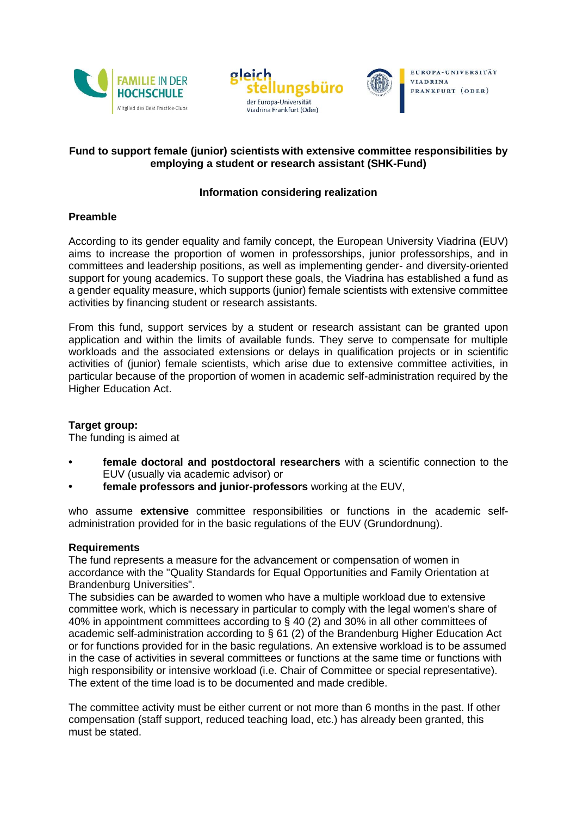





# **Fund to support female (junior) scientists with extensive committee responsibilities by employing a student or research assistant (SHK-Fund)**

## **Information considering realization**

### **Preamble**

According to its gender equality and family concept, the European University Viadrina (EUV) aims to increase the proportion of women in professorships, junior professorships, and in committees and leadership positions, as well as implementing gender- and diversity-oriented support for young academics. To support these goals, the Viadrina has established a fund as a gender equality measure, which supports (junior) female scientists with extensive committee activities by financing student or research assistants.

From this fund, support services by a student or research assistant can be granted upon application and within the limits of available funds. They serve to compensate for multiple workloads and the associated extensions or delays in qualification projects or in scientific activities of (junior) female scientists, which arise due to extensive committee activities, in particular because of the proportion of women in academic self-administration required by the Higher Education Act.

### **Target group:**

The funding is aimed at

- **• female doctoral and postdoctoral researchers** with a scientific connection to the EUV (usually via academic advisor) or
- **• female professors and junior-professors** working at the EUV,

who assume **extensive** committee responsibilities or functions in the academic selfadministration provided for in the basic regulations of the EUV (Grundordnung).

### **Requirements**

The fund represents a measure for the advancement or compensation of women in accordance with the "Quality Standards for Equal Opportunities and Family Orientation at Brandenburg Universities".

The subsidies can be awarded to women who have a multiple workload due to extensive committee work, which is necessary in particular to comply with the legal women's share of 40% in appointment committees according to § 40 (2) and 30% in all other committees of academic self-administration according to § 61 (2) of the Brandenburg Higher Education Act or for functions provided for in the basic regulations. An extensive workload is to be assumed in the case of activities in several committees or functions at the same time or functions with high responsibility or intensive workload (i.e. Chair of Committee or special representative). The extent of the time load is to be documented and made credible.

The committee activity must be either current or not more than 6 months in the past. If other compensation (staff support, reduced teaching load, etc.) has already been granted, this must be stated.